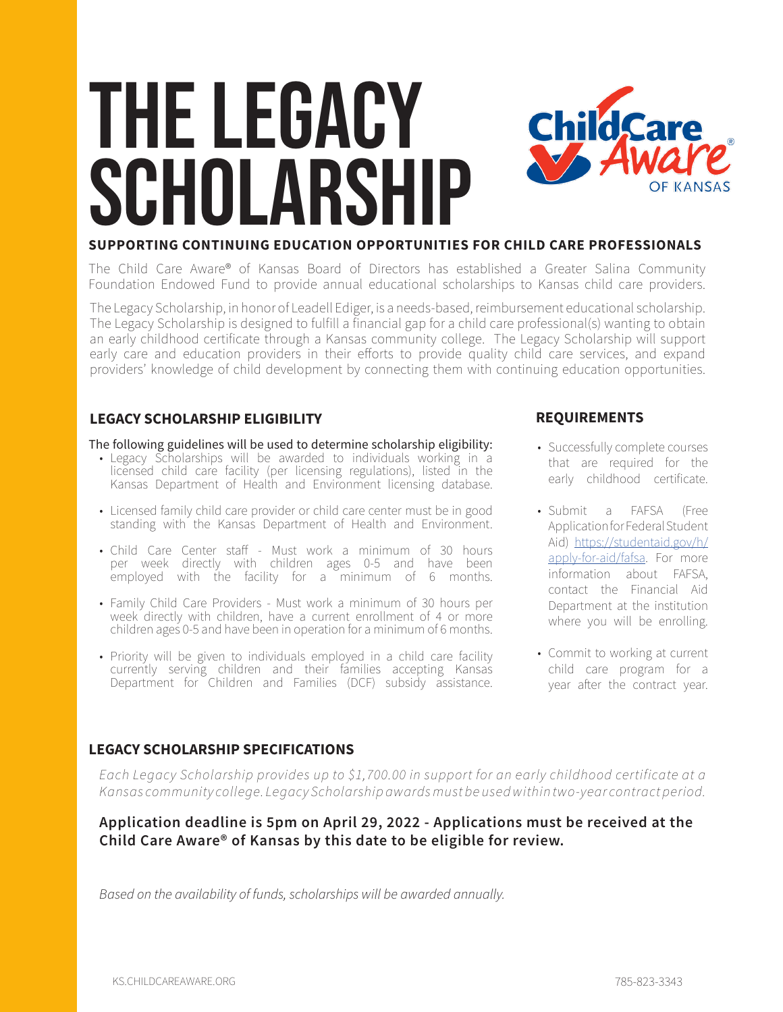# The Legacy SCHOLARSHIP



### **SUPPORTING CONTINUING EDUCATION OPPORTUNITIES FOR CHILD CARE PROFESSIONALS**

The Child Care Aware® of Kansas Board of Directors has established a Greater Salina Community Foundation Endowed Fund to provide annual educational scholarships to Kansas child care providers.

The Legacy Scholarship, in honor of Leadell Ediger, is a needs-based, reimbursement educational scholarship. The Legacy Scholarship is designed to fulfill a financial gap for a child care professional(s) wanting to obtain an early childhood certificate through a Kansas community college. The Legacy Scholarship will support early care and education providers in their efforts to provide quality child care services, and expand providers' knowledge of child development by connecting them with continuing education opportunities.

### **LEGACY SCHOLARSHIP ELIGIBILITY**

#### The following guidelines will be used to determine scholarship eligibility:

- Legacy Scholarships will be awarded to individuals working in a licensed child care facility (per licensing regulations), listed in the Kansas Department of Health and Environment licensing database.
- Licensed family child care provider or child care center must be in good standing with the Kansas Department of Health and Environment.
- Child Care Center staff Must work a minimum of 30 hours per week directly with children ages 0-5 and have been employed with the facility for a minimum of 6 months.
- Family Child Care Providers Must work a minimum of 30 hours per week directly with children, have a current enrollment of 4 or more children ages 0-5 and have been in operation for a minimum of 6 months.
- Priority will be given to individuals employed in a child care facility currently serving children and their families accepting Kansas Department for Children and Families (DCF) subsidy assistance.

### **REQUIREMENTS**

- Successfully complete courses that are required for the early childhood certificate.
- Submit a FAFSA (Free Application for Federal Student Aid) [https://studentaid.gov/h/](https://studentaid.gov/h/apply-for-aid/fafsa) [apply-for-aid/fafsa.](https://studentaid.gov/h/apply-for-aid/fafsa) For more information about FAFSA, contact the Financial Aid Department at the institution where you will be enrolling.
- Commit to working at current child care program for a year after the contract year.

### **LEGACY SCHOLARSHIP SPECIFICATIONS**

*Each Legacy Scholarship provides up to \$1,700.00 in support for an early childhood certificate at a Kansas community college. Legacy Scholarship awards must be used within two-year contract period.* 

### **Application deadline is 5pm on April 29, 2022 - Applications must be received at the Child Care Aware® of Kansas by this date to be eligible for review.**

*Based on the availability of funds, scholarships will be awarded annually.*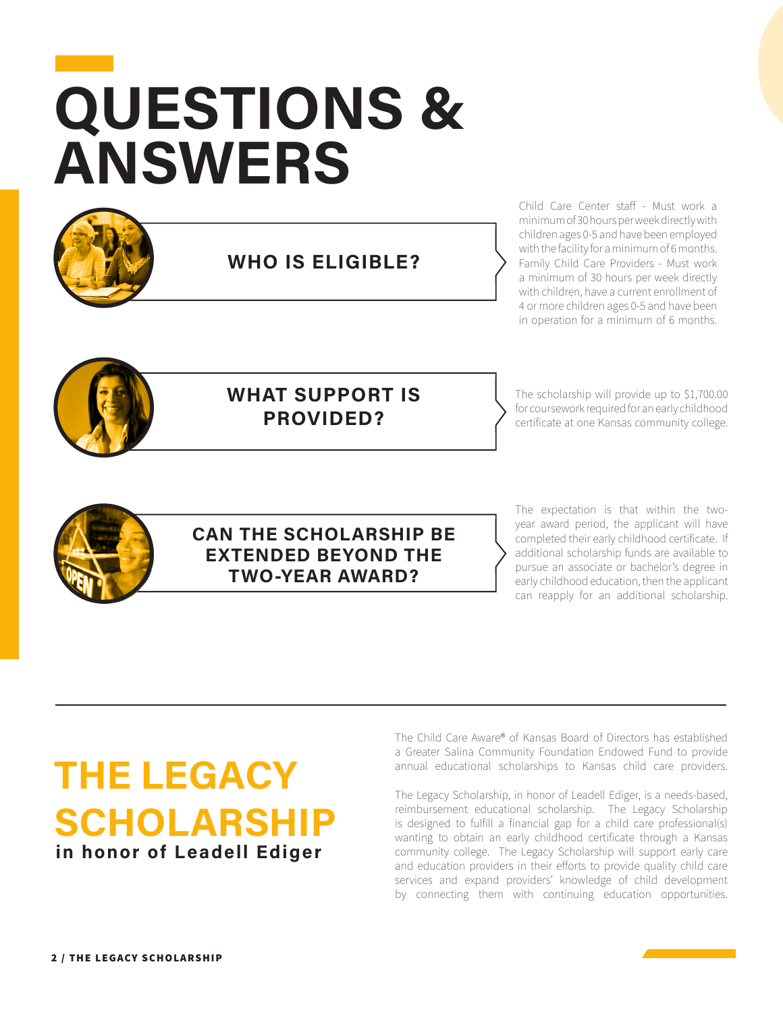# **QUESTIONS & ANSWERS EXECUTES**



**WHO IS ELIGIBLE?**

Child Care Center staff - Must work a minimum of 30 hours per week directly with children ages 0-5 and have been employed with the facility for a minimum of 6 months. Family Child Care Providers - Must work a minimum of 30 hours per week directly with children, have a current enrollment of 4 or more children ages 0-5 and have been in operation for a minimum of 6 months.



### **WHAT SUPPORT IS PROVIDED?**

The scholarship will provide up to \$1,700.00 for coursework required for an early childhood certificate at one Kansas community college.



### **CAN THE SCHOLARSHIP BE EXTENDED BEYOND THE TWO-YEAR AWARD?**

The expectation is that within the twoyear award period, the applicant will have completed their early childhood certificate. If additional scholarship funds are available to pursue an associate or bachelor's degree in early childhood education, then the applicant can reapply for an additional scholarship.

## **THE LEGACY SCHOLARSHIP in honor of Leadell Ediger**

The Child Care Aware® of Kansas Board of Directors has established a Greater Salina Community Foundation Endowed Fund to provide annual educational scholarships to Kansas child care providers.

The Legacy Scholarship, in honor of Leadell Ediger, is a needs-based, reimbursement educational scholarship. The Legacy Scholarship is designed to fulfill a financial gap for a child care professional(s) wanting to obtain an early childhood certificate through a Kansas community college. The Legacy Scholarship will support early care and education providers in their efforts to provide quality child care services and expand providers' knowledge of child development by connecting them with continuing education opportunities.